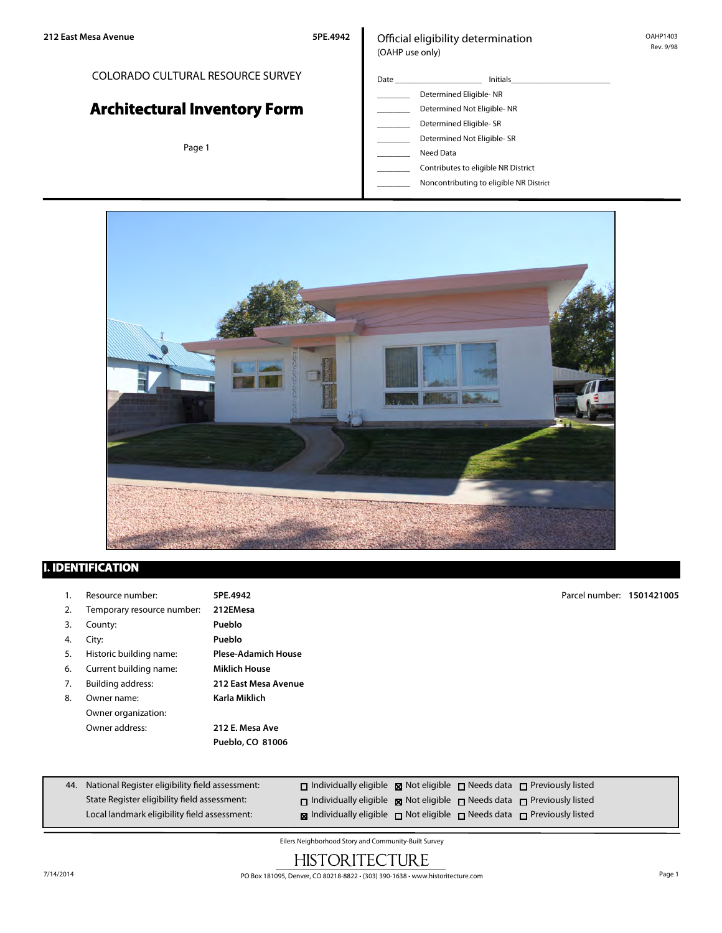## COLORADO CULTURAL RESOURCE SURVEY

# **Architectural Inventory Form**

Page 1

## Official eligibility determination (OAHP use only)

| Date | <b>Initials</b>            |  |  |
|------|----------------------------|--|--|
|      | Determined Eligible-NR     |  |  |
|      | Determined Not Eligible-NR |  |  |
|      | Determined Eligible-SR     |  |  |
|      | Determined Not Eligible-SR |  |  |
|      | Need Data                  |  |  |

\_\_\_\_\_\_\_\_ Contributes to eligible NR District

\_\_\_\_\_\_\_\_ Noncontributing to eligible NR District



## **I. IDENTIFICATION**

|    | Resource number:           | 5PE.4942                   | Parcel number: 1501421005 |  |
|----|----------------------------|----------------------------|---------------------------|--|
| 2. | Temporary resource number: | 212EMesa                   |                           |  |
| 3. | County:                    | Pueblo                     |                           |  |
| 4. | City:                      | Pueblo                     |                           |  |
| 5. | Historic building name:    | <b>Plese-Adamich House</b> |                           |  |
| 6. | Current building name:     | <b>Miklich House</b>       |                           |  |
| 7. | Building address:          | 212 East Mesa Avenue       |                           |  |
| 8. | Owner name:                | Karla Miklich              |                           |  |
|    | Owner organization:        |                            |                           |  |
|    | Owner address:             | 212 E. Mesa Ave            |                           |  |
|    |                            | Pueblo, CO 81006           |                           |  |

| 44. National Register eligibility field assessment: | $\Box$ Individually eligible $\boxtimes$ Not eligible $\Box$ Needs data $\Box$ Previously listed |  |  |
|-----------------------------------------------------|--------------------------------------------------------------------------------------------------|--|--|
| State Register eligibility field assessment:        | $\Box$ Individually eligible $\boxtimes$ Not eligible $\Box$ Needs data $\Box$ Previously listed |  |  |
| Local landmark eligibility field assessment:        | <b>x</b> Individually eligible not eligible needs data net Previously listed                     |  |  |

Eilers Neighborhood Story and Community-Built Survey

# **HISTORITECTURE**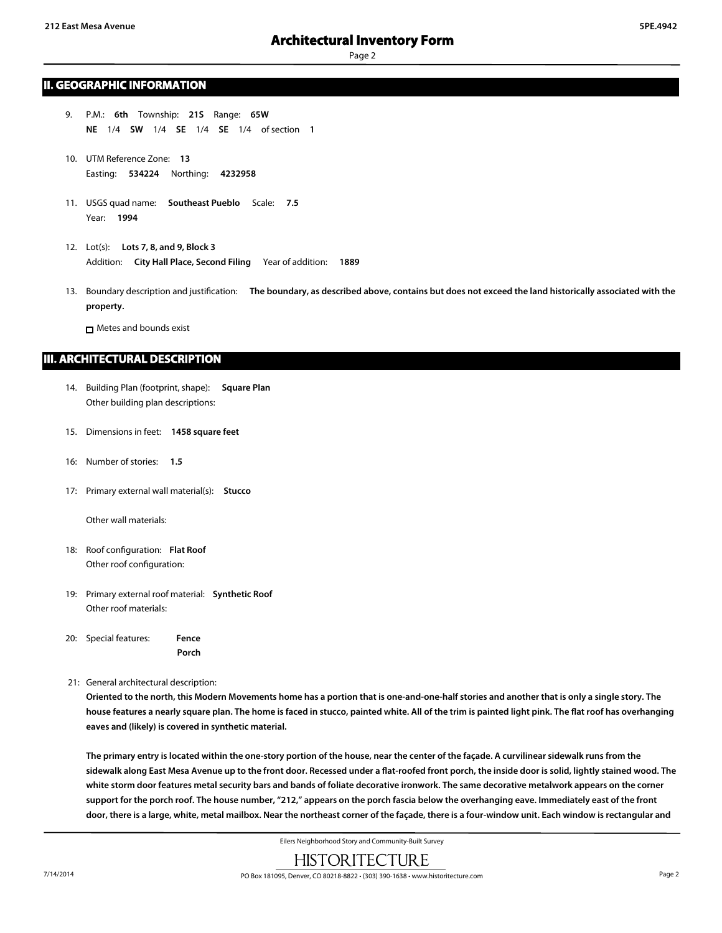Page 2

#### **II. GEOGRAPHIC INFORMATION**

- 9. P.M.: **6th** Township: **21S** Range: **65W NE** 1/4 **SW** 1/4 **SE** 1/4 **SE** 1/4 of section **1**
- 10. UTM Reference Zone: **13** Easting: **534224** Northing: **4232958**
- 11. USGS quad name: **Southeast Pueblo** Scale: **7.5** Year: **1994**
- 12. Lot(s): **Lots 7, 8, and 9, Block 3** Addition: **City Hall Place, Second Filing** Year of addition: **1889**
- 13. Boundary description and justification: **The boundary, as described above, contains but does not exceed the land historically associated with the property.**

**n** Metes and bounds exist

### **III. ARCHITECTURAL DESCRIPTION**

- 14. Building Plan (footprint, shape): **Square Plan** Other building plan descriptions:
- 15. Dimensions in feet: **1458 square feet**
- 16: Number of stories: **1.5**
- 17: Primary external wall material(s): **Stucco**

Other wall materials:

- 18: Roof configuration: **Flat Roof** Other roof configuration:
- 19: Primary external roof material: **Synthetic Roof** Other roof materials:
- 20: Special features: **Fence Porch**
- 21: General architectural description:

**Oriented to the north, this Modern Movements home has a portion that is one-and-one-half stories and another that is only a single story. The house features a nearly square plan. The home is faced in stucco, painted white. All of the trim is painted light pink. The flat roof has overhanging eaves and (likely) is covered in synthetic material.**

**The primary entry is located within the one-story portion of the house, near the center of the façade. A curvilinear sidewalk runs from the sidewalk along East Mesa Avenue up to the front door. Recessed under a flat-roofed front porch, the inside door is solid, lightly stained wood. The white storm door features metal security bars and bands of foliate decorative ironwork. The same decorative metalwork appears on the corner support for the porch roof. The house number, "212," appears on the porch fascia below the overhanging eave. Immediately east of the front door, there is a large, white, metal mailbox. Near the northeast corner of the façade, there is a four-window unit. Each window is rectangular and**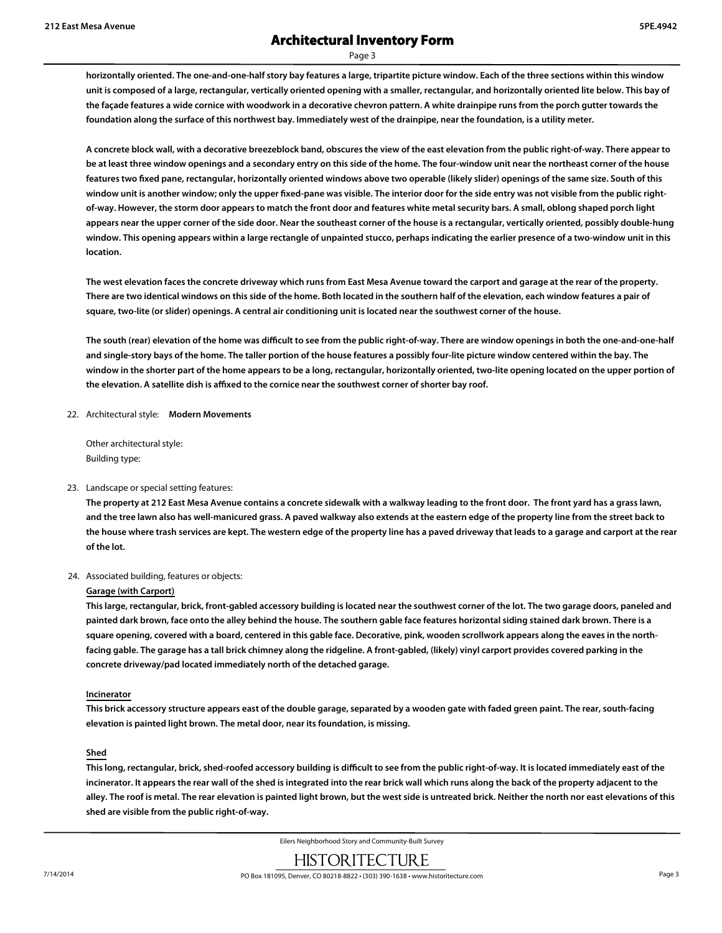Page 3

**horizontally oriented. The one-and-one-half story bay features a large, tripartite picture window. Each of the three sections within this window unit is composed of a large, rectangular, vertically oriented opening with a smaller, rectangular, and horizontally oriented lite below. This bay of the façade features a wide cornice with woodwork in a decorative chevron pattern. A white drainpipe runs from the porch gutter towards the foundation along the surface of this northwest bay. Immediately west of the drainpipe, near the foundation, is a utility meter.**

**A concrete block wall, with a decorative breezeblock band, obscures the view of the east elevation from the public right-of-way. There appear to be at least three window openings and a secondary entry on this side of the home. The four-window unit near the northeast corner of the house features two fixed pane, rectangular, horizontally oriented windows above two operable (likely slider) openings of the same size. South of this** window unit is another window; only the upper fixed-pane was visible. The interior door for the side entry was not visible from the public right**of-way. However, the storm door appears to match the front door and features white metal security bars. A small, oblong shaped porch light appears near the upper corner of the side door. Near the southeast corner of the house is a rectangular, vertically oriented, possibly double-hung window. This opening appears within a large rectangle of unpainted stucco, perhaps indicating the earlier presence of a two-window unit in this location.**

**The west elevation faces the concrete driveway which runs from East Mesa Avenue toward the carport and garage at the rear of the property. There are two identical windows on this side of the home. Both located in the southern half of the elevation, each window features a pair of square, two-lite (or slider) openings. A central air conditioning unit is located near the southwest corner of the house.**

**The south (rear) elevation of the home was difficult to see from the public right-of-way. There are window openings in both the one-and-one-half and single-story bays of the home. The taller portion of the house features a possibly four-lite picture window centered within the bay. The window in the shorter part of the home appears to be a long, rectangular, horizontally oriented, two-lite opening located on the upper portion of the elevation. A satellite dish is affixed to the cornice near the southwest corner of shorter bay roof.**

22. Architectural style: **Modern Movements**

Other architectural style: Building type:

#### 23. Landscape or special setting features:

**The property at 212 East Mesa Avenue contains a concrete sidewalk with a walkway leading to the front door. The front yard has a grass lawn, and the tree lawn also has well-manicured grass. A paved walkway also extends at the eastern edge of the property line from the street back to the house where trash services are kept. The western edge of the property line has a paved driveway that leads to a garage and carport at the rear of the lot.**

#### 24. Associated building, features or objects:

#### **Garage (with Carport)**

**This large, rectangular, brick, front-gabled accessory building is located near the southwest corner of the lot. The two garage doors, paneled and painted dark brown, face onto the alley behind the house. The southern gable face features horizontal siding stained dark brown. There is a square opening, covered with a board, centered in this gable face. Decorative, pink, wooden scrollwork appears along the eaves in the northfacing gable. The garage has a tall brick chimney along the ridgeline. A front-gabled, (likely) vinyl carport provides covered parking in the concrete driveway/pad located immediately north of the detached garage.**

#### **Incinerator**

**This brick accessory structure appears east of the double garage, separated by a wooden gate with faded green paint. The rear, south-facing elevation is painted light brown. The metal door, near its foundation, is missing.**

#### **Shed**

**This long, rectangular, brick, shed-roofed accessory building is difficult to see from the public right-of-way. It is located immediately east of the incinerator. It appears the rear wall of the shed is integrated into the rear brick wall which runs along the back of the property adjacent to the alley. The roof is metal. The rear elevation is painted light brown, but the west side is untreated brick. Neither the north nor east elevations of this shed are visible from the public right-of-way.**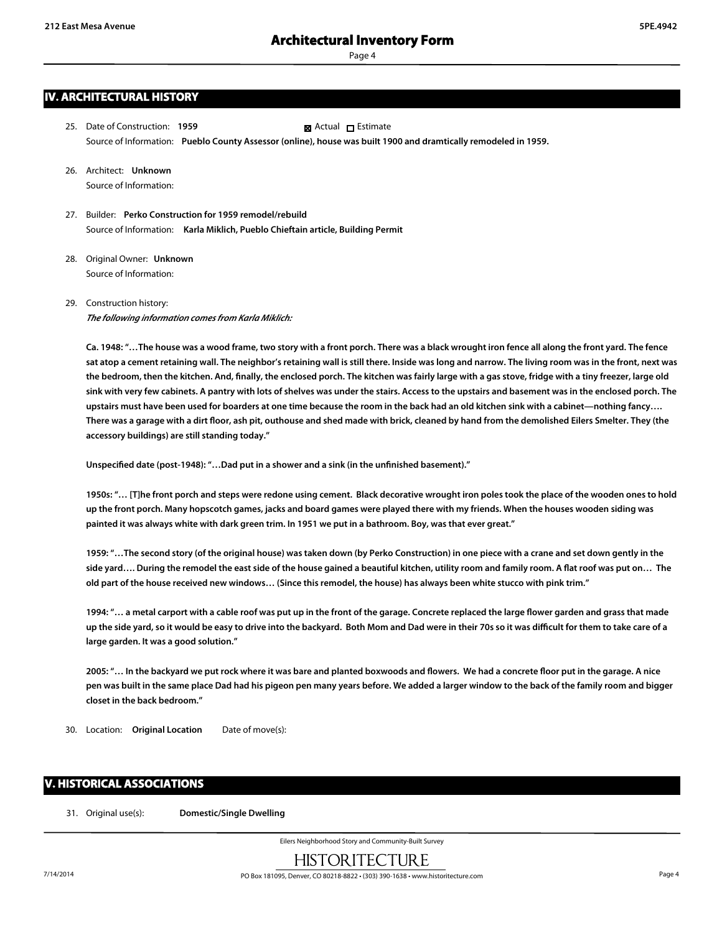Page 4

- 25. Date of Construction: **1959** Source of Information: **Pueblo County Assessor (online), house was built 1900 and dramtically remodeled in 1959. Ex** Actual □ Estimate
- 26. Architect: **Unknown** Source of Information:
- 27. Builder: **Perko Construction for 1959 remodel/rebuild** Source of Information: **Karla Miklich, Pueblo Chieftain article, Building Permit**
- 28. Original Owner: **Unknown** Source of Information:
- 29. Construction history:

*The following information comes from Karla Miklich:*

**Ca. 1948: "…The house was a wood frame, two story with a front porch. There was a black wrought iron fence all along the front yard. The fence sat atop a cement retaining wall. The neighbor's retaining wall is still there. Inside was long and narrow. The living room was in the front, next was the bedroom, then the kitchen. And, finally, the enclosed porch. The kitchen was fairly large with a gas stove, fridge with a tiny freezer, large old sink with very few cabinets. A pantry with lots of shelves was under the stairs. Access to the upstairs and basement was in the enclosed porch. The upstairs must have been used for boarders at one time because the room in the back had an old kitchen sink with a cabinet—nothing fancy…. There was a garage with a dirt floor, ash pit, outhouse and shed made with brick, cleaned by hand from the demolished Eilers Smelter. They (the accessory buildings) are still standing today."**

**Unspecified date (post-1948): "…Dad put in a shower and a sink (in the unfinished basement)."**

**1950s: "… [T]he front porch and steps were redone using cement. Black decorative wrought iron poles took the place of the wooden ones to hold up the front porch. Many hopscotch games, jacks and board games were played there with my friends. When the houses wooden siding was painted it was always white with dark green trim. In 1951 we put in a bathroom. Boy, was that ever great."**

**1959: "…The second story (of the original house) was taken down (by Perko Construction) in one piece with a crane and set down gently in the side yard…. During the remodel the east side of the house gained a beautiful kitchen, utility room and family room. A flat roof was put on… The old part of the house received new windows… (Since this remodel, the house) has always been white stucco with pink trim."**

**1994: "… a metal carport with a cable roof was put up in the front of the garage. Concrete replaced the large flower garden and grass that made up the side yard, so it would be easy to drive into the backyard. Both Mom and Dad were in their 70s so it was difficult for them to take care of a large garden. It was a good solution."**

**2005: "… In the backyard we put rock where it was bare and planted boxwoods and flowers. We had a concrete floor put in the garage. A nice pen was built in the same place Dad had his pigeon pen many years before. We added a larger window to the back of the family room and bigger closet in the back bedroom."**

30. Location: **Original Location** Date of move(s):

## **V. HISTORICAL ASSOCIATIONS**

31. Original use(s): **Domestic/Single Dwelling**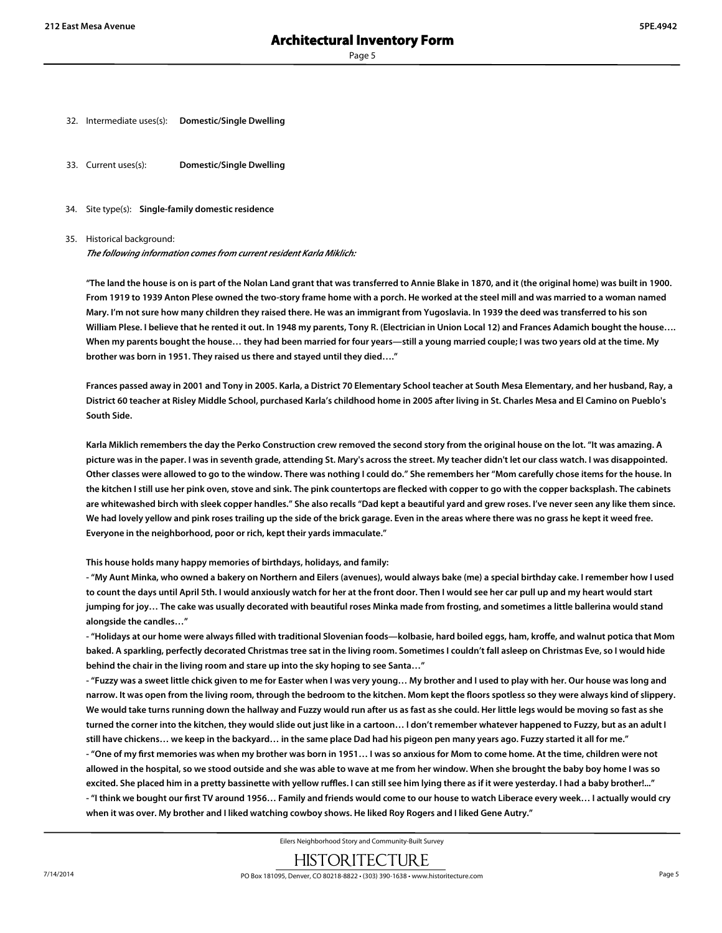- 32. Intermediate uses(s): **Domestic/Single Dwelling**
- 33. Current uses(s): **Domestic/Single Dwelling**
- 34. Site type(s): **Single-family domestic residence**

#### 35. Historical background:

*The following information comes from current resident Karla Miklich:*

**"The land the house is on is part of the Nolan Land grant that was transferred to Annie Blake in 1870, and it (the original home) was built in 1900. From 1919 to 1939 Anton Plese owned the two-story frame home with a porch. He worked at the steel mill and was married to a woman named Mary. I'm not sure how many children they raised there. He was an immigrant from Yugoslavia. In 1939 the deed was transferred to his son William Plese. I believe that he rented it out. In 1948 my parents, Tony R. (Electrician in Union Local 12) and Frances Adamich bought the house…. When my parents bought the house… they had been married for four years—still a young married couple; I was two years old at the time. My brother was born in 1951. They raised us there and stayed until they died…."**

**Frances passed away in 2001 and Tony in 2005. Karla, a District 70 Elementary School teacher at South Mesa Elementary, and her husband, Ray, a District 60 teacher at Risley Middle School, purchased Karla's childhood home in 2005 after living in St. Charles Mesa and El Camino on Pueblo's South Side.**

**Karla Miklich remembers the day the Perko Construction crew removed the second story from the original house on the lot. "It was amazing. A picture was in the paper. I was in seventh grade, attending St. Mary's across the street. My teacher didn't let our class watch. I was disappointed. Other classes were allowed to go to the window. There was nothing I could do." She remembers her "Mom carefully chose items for the house. In the kitchen I still use her pink oven, stove and sink. The pink countertops are flecked with copper to go with the copper backsplash. The cabinets are whitewashed birch with sleek copper handles." She also recalls "Dad kept a beautiful yard and grew roses. I've never seen any like them since. We had lovely yellow and pink roses trailing up the side of the brick garage. Even in the areas where there was no grass he kept it weed free. Everyone in the neighborhood, poor or rich, kept their yards immaculate."**

**This house holds many happy memories of birthdays, holidays, and family:**

**- "My Aunt Minka, who owned a bakery on Northern and Eilers (avenues), would always bake (me) a special birthday cake. I remember how I used to count the days until April 5th. I would anxiously watch for her at the front door. Then I would see her car pull up and my heart would start jumping for joy… The cake was usually decorated with beautiful roses Minka made from frosting, and sometimes a little ballerina would stand alongside the candles…"**

**- "Holidays at our home were always filled with traditional Slovenian foods—kolbasie, hard boiled eggs, ham, kroffe, and walnut potica that Mom baked. A sparkling, perfectly decorated Christmas tree sat in the living room. Sometimes I couldn't fall asleep on Christmas Eve, so I would hide behind the chair in the living room and stare up into the sky hoping to see Santa…"**

**- "Fuzzy was a sweet little chick given to me for Easter when I was very young… My brother and I used to play with her. Our house was long and narrow. It was open from the living room, through the bedroom to the kitchen. Mom kept the floors spotless so they were always kind of slippery. We would take turns running down the hallway and Fuzzy would run after us as fast as she could. Her little legs would be moving so fast as she turned the corner into the kitchen, they would slide out just like in a cartoon… I don't remember whatever happened to Fuzzy, but as an adult I still have chickens… we keep in the backyard… in the same place Dad had his pigeon pen many years ago. Fuzzy started it all for me." - "One of my first memories was when my brother was born in 1951… I was so anxious for Mom to come home. At the time, children were not allowed in the hospital, so we stood outside and she was able to wave at me from her window. When she brought the baby boy home I was so excited. She placed him in a pretty bassinette with yellow ruffles. I can still see him lying there as if it were yesterday. I had a baby brother!..." - "I think we bought our first TV around 1956… Family and friends would come to our house to watch Liberace every week… I actually would cry when it was over. My brother and I liked watching cowboy shows. He liked Roy Rogers and I liked Gene Autry."**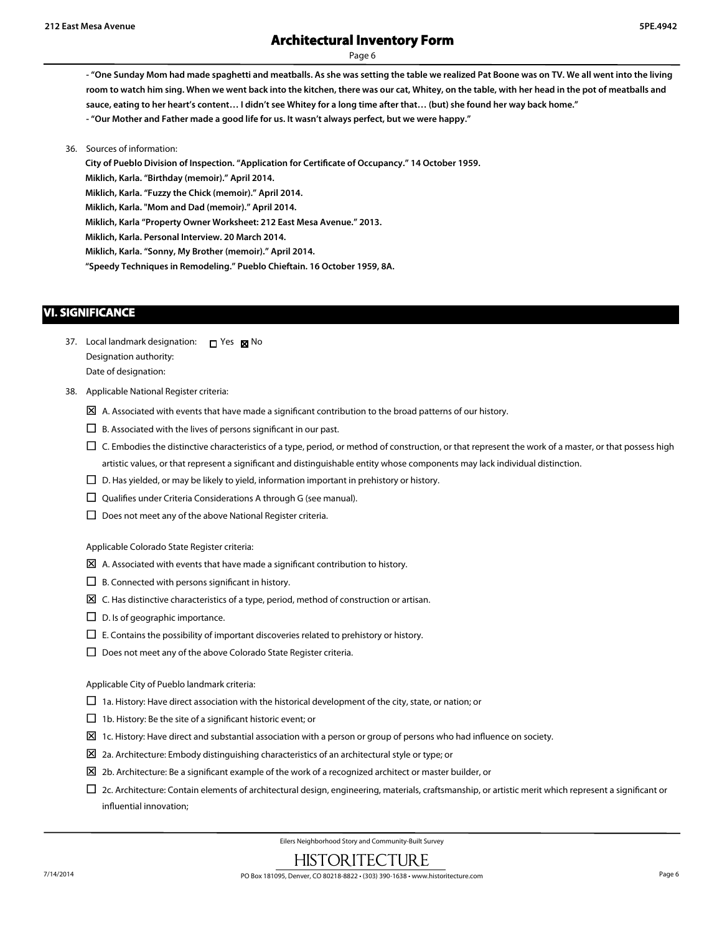Page 6

**- "One Sunday Mom had made spaghetti and meatballs. As she was setting the table we realized Pat Boone was on TV. We all went into the living room to watch him sing. When we went back into the kitchen, there was our cat, Whitey, on the table, with her head in the pot of meatballs and**

**sauce, eating to her heart's content… I didn't see Whitey for a long time after that… (but) she found her way back home."**

**- "Our Mother and Father made a good life for us. It wasn't always perfect, but we were happy."**

36. Sources of information:

**City of Pueblo Division of Inspection. "Application for Certificate of Occupancy." 14 October 1959.**

**Miklich, Karla. "Birthday (memoir)." April 2014.**

**Miklich, Karla. "Fuzzy the Chick (memoir)." April 2014.**

**Miklich, Karla. "Mom and Dad (memoir)." April 2014.**

**Miklich, Karla "Property Owner Worksheet: 212 East Mesa Avenue." 2013.**

**Miklich, Karla. Personal Interview. 20 March 2014.**

**Miklich, Karla. "Sonny, My Brother (memoir)." April 2014.**

**"Speedy Techniques in Remodeling." Pueblo Chieftain. 16 October 1959, 8A.**

### **VI. SIGNIFICANCE**

- 37. Local landmark designation:  $\Box$  Yes  $\boxtimes$  No Designation authority: Date of designation:
- 38. Applicable National Register criteria:
	- $\boxtimes$  A. Associated with events that have made a significant contribution to the broad patterns of our history.
	- $\square$  B. Associated with the lives of persons significant in our past.
	- $\Box$  C. Embodies the distinctive characteristics of a type, period, or method of construction, or that represent the work of a master, or that possess high artistic values, or that represent a significant and distinguishable entity whose components may lack individual distinction.
	- $\square$  D. Has yielded, or may be likely to yield, information important in prehistory or history.
	- $\square$  Qualifies under Criteria Considerations A through G (see manual).
	- $\square$  Does not meet any of the above National Register criteria.

Applicable Colorado State Register criteria:

- $\boxtimes$  A. Associated with events that have made a significant contribution to history.
- $\square$  B. Connected with persons significant in history.
- $\boxtimes$  C. Has distinctive characteristics of a type, period, method of construction or artisan.
- $\square$  D. Is of geographic importance.
- $\square$  E. Contains the possibility of important discoveries related to prehistory or history.
- $\square$  Does not meet any of the above Colorado State Register criteria.

Applicable City of Pueblo landmark criteria:

- $\Box$  1a. History: Have direct association with the historical development of the city, state, or nation; or
- $\Box$  1b. History: Be the site of a significant historic event; or
- $\Sigma$  1c. History: Have direct and substantial association with a person or group of persons who had influence on society.
- $\boxtimes$  2a. Architecture: Embody distinguishing characteristics of an architectural style or type; or
- $\Sigma$  2b. Architecture: Be a significant example of the work of a recognized architect or master builder, or
- $\Box$  2c. Architecture: Contain elements of architectural design, engineering, materials, craftsmanship, or artistic merit which represent a significant or influential innovation;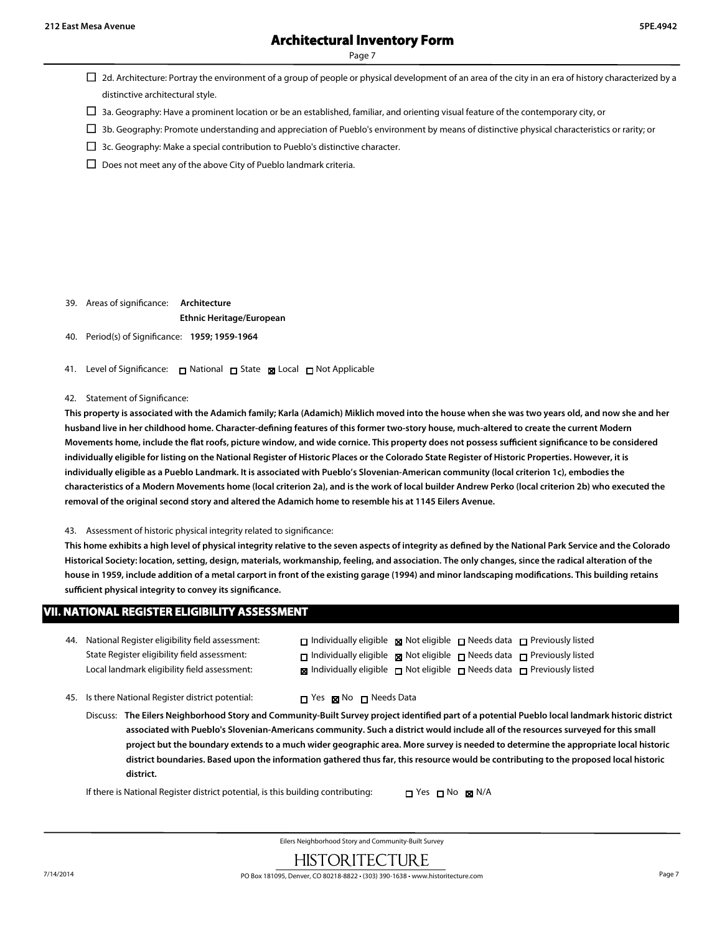Page 7

- $\Box$  2d. Architecture: Portray the environment of a group of people or physical development of an area of the city in an era of history characterized by a distinctive architectural style.
- $\Box$  3a. Geography: Have a prominent location or be an established, familiar, and orienting visual feature of the contemporary city, or
- $\Box$  3b. Geography: Promote understanding and appreciation of Pueblo's environment by means of distinctive physical characteristics or rarity; or
- $\Box$  3c. Geography: Make a special contribution to Pueblo's distinctive character.
- $\square$  Does not meet any of the above City of Pueblo landmark criteria.

- 39. Areas of significance: **Architecture Ethnic Heritage/European**
- 40. Period(s) of Significance: **1959; 1959-1964**
- 41. Level of Significance: □ National □ State 図 Local □ Not Applicable
- 42. Statement of Significance:

**This property is associated with the Adamich family; Karla (Adamich) Miklich moved into the house when she was two years old, and now she and her husband live in her childhood home. Character-defining features of this former two-story house, much-altered to create the current Modern Movements home, include the flat roofs, picture window, and wide cornice. This property does not possess sufficient significance to be considered individually eligible for listing on the National Register of Historic Places or the Colorado State Register of Historic Properties. However, it is individually eligible as a Pueblo Landmark. It is associated with Pueblo's Slovenian-American community (local criterion 1c), embodies the characteristics of a Modern Movements home (local criterion 2a), and is the work of local builder Andrew Perko (local criterion 2b) who executed the removal of the original second story and altered the Adamich home to resemble his at 1145 Eilers Avenue.**

43. Assessment of historic physical integrity related to significance:

**This home exhibits a high level of physical integrity relative to the seven aspects of integrity as defined by the National Park Service and the Colorado Historical Society: location, setting, design, materials, workmanship, feeling, and association. The only changes, since the radical alteration of the house in 1959, include addition of a metal carport in front of the existing garage (1994) and minor landscaping modifications. This building retains sufficient physical integrity to convey its significance.**

#### **VII. NATIONAL REGISTER ELIGIBILITY ASSESSMENT**

- 44. National Register eligibility field assessment: State Register eligibility field assessment: Local landmark eligibility field assessment:
- 45. Is there National Register district potential:  $\Box$  Yes  $\boxtimes$  No  $\Box$  Needs Data
	- Discuss: **The Eilers Neighborhood Story and Community-Built Survey project identified part of a potential Pueblo local landmark historic district associated with Pueblo's Slovenian-Americans community. Such a district would include all of the resources surveyed for this small project but the boundary extends to a much wider geographic area. More survey is needed to determine the appropriate local historic district boundaries. Based upon the information gathered thus far, this resource would be contributing to the proposed local historic district.**

If there is National Register district potential, is this building contributing:  $\Box$  Yes  $\Box$  No  $\boxtimes$  N/A

 $\Box$  Individually eligible  $\boxtimes$  Not eligible  $\Box$  Needs data  $\Box$  Previously listed □ Individually eligible ■ Not eligible □ Needs data □ Previously listed  $\boxtimes$  Individually eligible  $\Box$  Not eligible  $\Box$  Needs data  $\Box$  Previously listed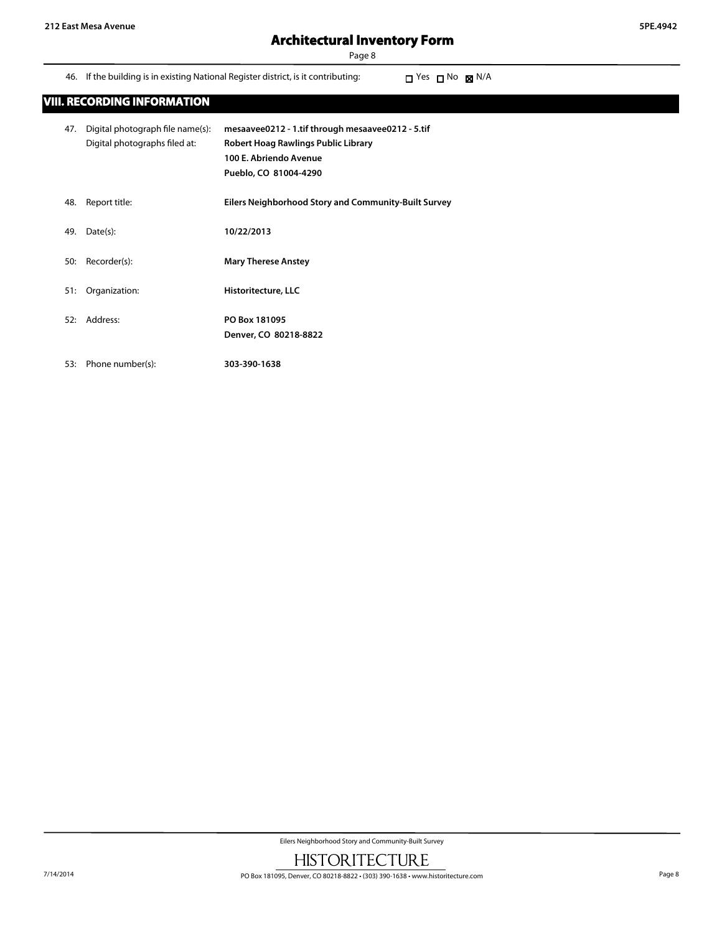Page 8

46. If the building is in existing National Register district, is it contributing:  $\Box$  Yes  $\Box$  No  $\boxtimes$  N/A

| 47. | Digital photograph file name(s):<br>Digital photographs filed at: | mesaavee0212 - 1.tif through mesaavee0212 - 5.tif<br>Robert Hoag Rawlings Public Library<br>100 E. Abriendo Avenue<br>Pueblo, CO 81004-4290 |
|-----|-------------------------------------------------------------------|---------------------------------------------------------------------------------------------------------------------------------------------|
| 48. | Report title:                                                     | Eilers Neighborhood Story and Community-Built Survey                                                                                        |
| 49. | Date(s):                                                          | 10/22/2013                                                                                                                                  |
| 50: | Recorder(s):                                                      | <b>Mary Therese Anstey</b>                                                                                                                  |
| 51: | Organization:                                                     | Historitecture, LLC                                                                                                                         |
| 52: | Address:                                                          | PO Box 181095<br>Denver, CO 80218-8822                                                                                                      |

53: Phone number(s): **303-390-1638**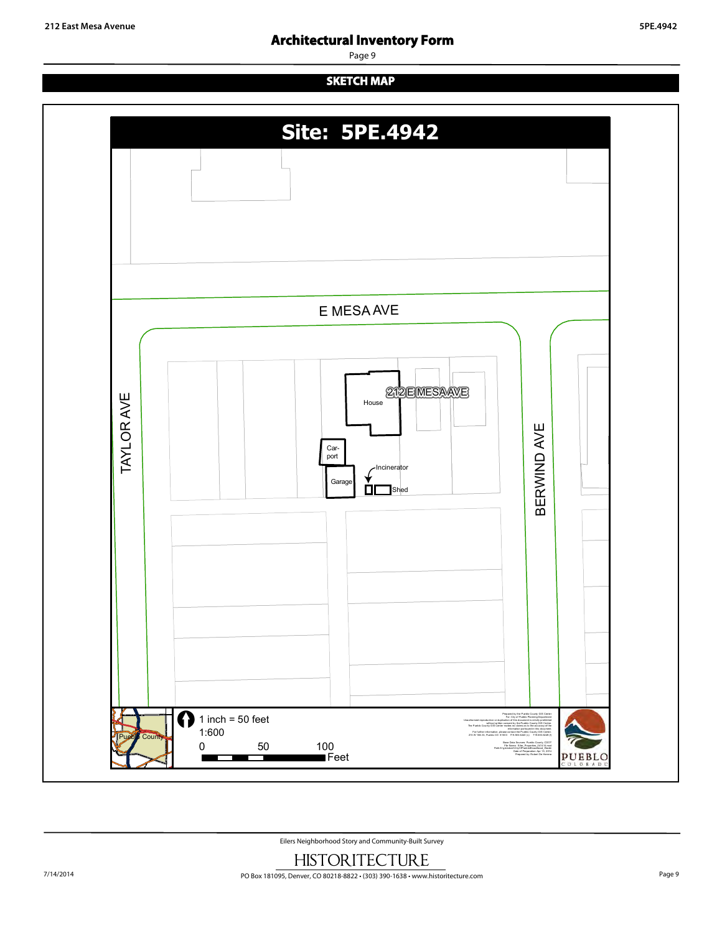Page 9

# **SKETCH MAP**